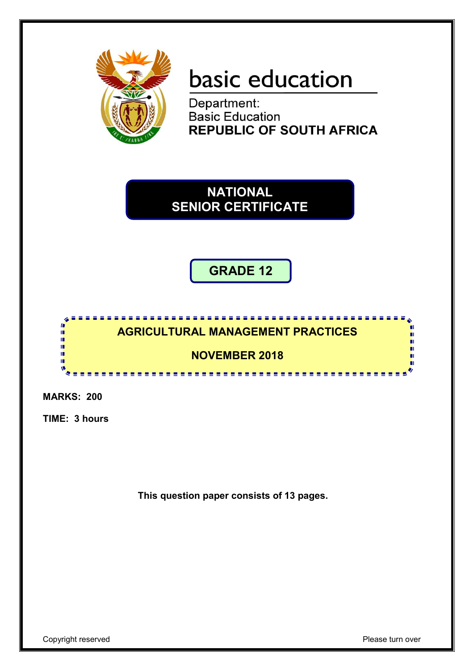

# basic education

Department: **Basic Education REPUBLIC OF SOUTH AFRICA** 

**NATIONAL SENIOR CERTIFICATE**

# **GRADE 12**

#### <u>,,,,,,,,,,,,,,,,,,,,,,,,,</u> **AGRICULTURAL MANAGEMENT PRACTICES**

## **NOVEMBER 2018**

\*\*\*\*\*\*\*\*\*\*\*\*\*\*\*\*\*\*\*\*

**MARKS: 200**

 $\mathbf{r}$ ۱<mark>۱</mark> ΙÚ, n. 10

**TIME: 3 hours**

**This question paper consists of 13 pages.**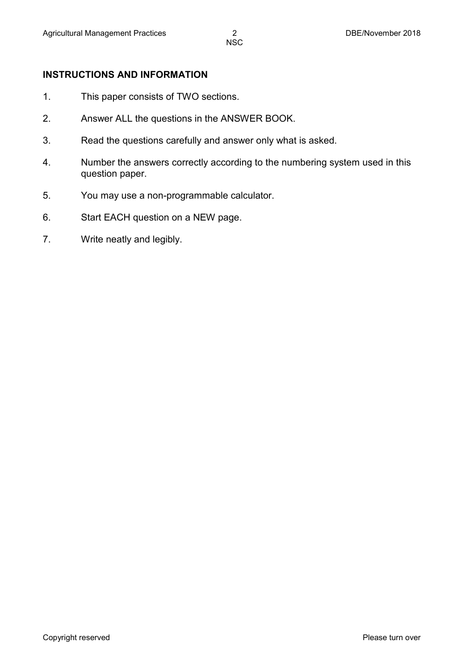#### **INSTRUCTIONS AND INFORMATION**

- 1. This paper consists of TWO sections.
- 2. Answer ALL the questions in the ANSWER BOOK.
- 3. Read the questions carefully and answer only what is asked.
- 4. Number the answers correctly according to the numbering system used in this question paper.
- 5. You may use a non-programmable calculator.
- 6. Start EACH question on a NEW page.
- 7. Write neatly and legibly.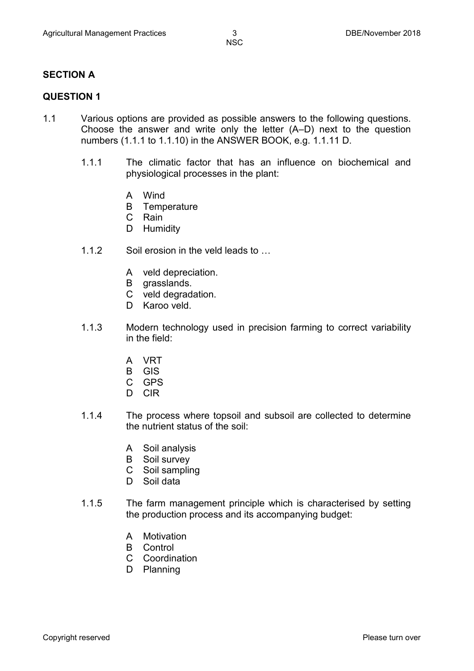#### **SECTION A**

#### **QUESTION 1**

- 1.1 Various options are provided as possible answers to the following questions. Choose the answer and write only the letter (A–D) next to the question numbers (1.1.1 to 1.1.10) in the ANSWER BOOK, e.g. 1.1.11 D.
	- 1.1.1 The climatic factor that has an influence on biochemical and physiological processes in the plant:
		- A Wind
		- B **Temperature**
		- C Rain
		- D Humidity
	- 1.1.2 Soil erosion in the veld leads to ...
		- A veld depreciation.
		- B grasslands.
		- C veld degradation.
		- D Karoo veld.
	- 1.1.3 Modern technology used in precision farming to correct variability in the field:
		- A VRT
		- B GIS
		- C GPS
		- D CIR
	- 1.1.4 The process where topsoil and subsoil are collected to determine the nutrient status of the soil:
		- A Soil analysis
		- B Soil survey
		- C Soil sampling
		- D Soil data
	- 1.1.5 The farm management principle which is characterised by setting the production process and its accompanying budget:
		- A Motivation
		- B Control
		- C Coordination
		- D Planning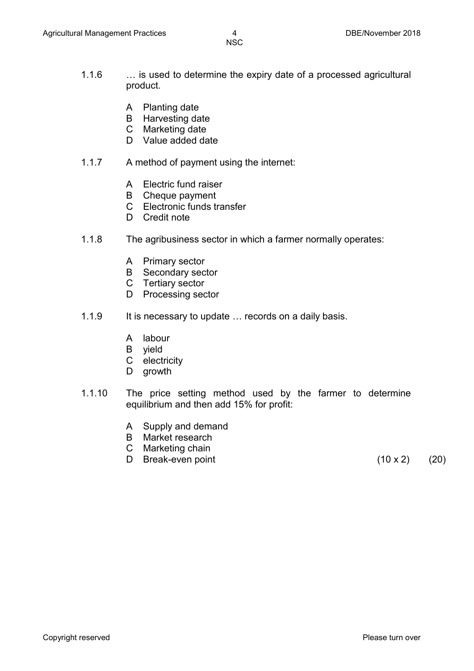- 
- 1.1.6 … is used to determine the expiry date of a processed agricultural product.
	- A Planting date
	- B Harvesting date
	- C Marketing date
	- D Value added date
- 1.1.7 A method of payment using the internet:
	- A Electric fund raiser
	- B Cheque payment
	- C Electronic funds transfer
	- D Credit note
- 1.1.8 The agribusiness sector in which a farmer normally operates:
	- A Primary sector
	- B Secondary sector
	- C Tertiary sector
	- D Processing sector
- 1.1.9 It is necessary to update ... records on a daily basis.
	- A labour
	- B yield
	- C electricity
	- D growth
- 1.1.10 The price setting method used by the farmer to determine equilibrium and then add 15% for profit:
	- A Supply and demand
	- B Market research
	- C Marketing chain
	- D Break-even point (10 x 2) (20)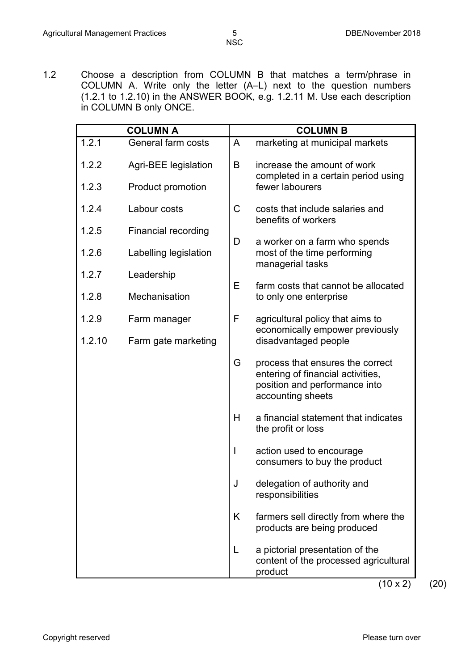1.2 Choose a description from COLUMN B that matches a term/phrase in COLUMN A. Write only the letter (A–L) next to the question numbers (1.2.1 to 1.2.10) in the ANSWER BOOK, e.g. 1.2.11 M. Use each description in COLUMN B only ONCE.

|        | <b>COLUMN A</b>            |   | <b>COLUMN B</b>                                                                                                             |
|--------|----------------------------|---|-----------------------------------------------------------------------------------------------------------------------------|
| 1.2.1  | General farm costs         | A | marketing at municipal markets                                                                                              |
| 1.2.2  | Agri-BEE legislation       | B | increase the amount of work<br>completed in a certain period using                                                          |
| 1.2.3  | Product promotion          |   | fewer labourers                                                                                                             |
| 1.2.4  | Labour costs               | C | costs that include salaries and<br>benefits of workers                                                                      |
| 1.2.5  | <b>Financial recording</b> | D | a worker on a farm who spends                                                                                               |
| 1.2.6  | Labelling legislation      |   | most of the time performing<br>managerial tasks                                                                             |
| 1.2.7  | Leadership                 | Е |                                                                                                                             |
| 1.2.8  | Mechanisation              |   | farm costs that cannot be allocated<br>to only one enterprise                                                               |
| 1.2.9  | Farm manager               | F | agricultural policy that aims to                                                                                            |
| 1.2.10 | Farm gate marketing        |   | economically empower previously<br>disadvantaged people                                                                     |
|        |                            | G | process that ensures the correct<br>entering of financial activities,<br>position and performance into<br>accounting sheets |
|        |                            | H | a financial statement that indicates<br>the profit or loss                                                                  |
|        |                            |   | action used to encourage<br>consumers to buy the product                                                                    |
|        |                            | J | delegation of authority and<br>responsibilities                                                                             |
|        |                            | K | farmers sell directly from where the<br>products are being produced                                                         |
|        |                            | L | a pictorial presentation of the<br>content of the processed agricultural<br>product                                         |

 $(10 \times 2)$  (20)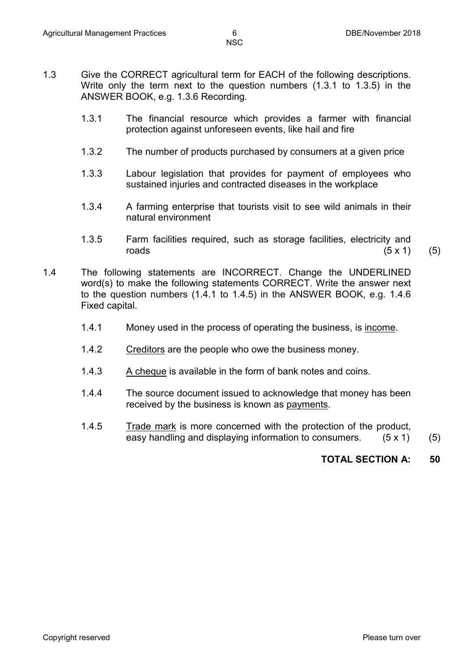- 
- 1.3 Give the CORRECT agricultural term for EACH of the following descriptions. Write only the term next to the question numbers (1.3.1 to 1.3.5) in the ANSWER BOOK, e.g. 1.3.6 Recording.
	- 1.3.1 The financial resource which provides a farmer with financial protection against unforeseen events, like hail and fire
	- 1.3.2 The number of products purchased by consumers at a given price
	- 1.3.3 Labour legislation that provides for payment of employees who sustained injuries and contracted diseases in the workplace
	- 1.3.4 A farming enterprise that tourists visit to see wild animals in their natural environment
	- 1.3.5 Farm facilities required, such as storage facilities, electricity and roads  $(5 \times 1)$  (5)
- 1.4 The following statements are INCORRECT. Change the UNDERLINED word(s) to make the following statements CORRECT. Write the answer next to the question numbers (1.4.1 to 1.4.5) in the ANSWER BOOK, e.g. 1.4.6 Fixed capital.
	- 1.4.1 Money used in the process of operating the business, is income.
	- 1.4.2 Creditors are the people who owe the business money.
	- 1.4.3 A cheque is available in the form of bank notes and coins.
	- 1.4.4 The source document issued to acknowledge that money has been received by the business is known as payments.
	- 1.4.5 Trade mark is more concerned with the protection of the product, easy handling and displaying information to consumers. (5 x 1) (5)

### **TOTAL SECTION A: 50**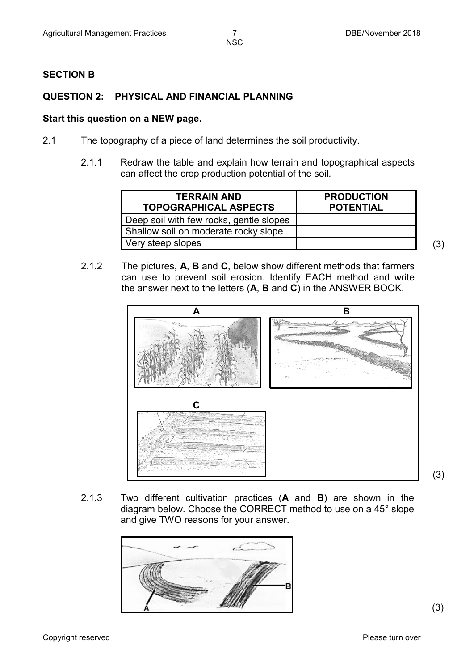#### **SECTION B**

#### **QUESTION 2: PHYSICAL AND FINANCIAL PLANNING**

#### **Start this question on a NEW page.**

- 2.1 The topography of a piece of land determines the soil productivity.
	- 2.1.1 Redraw the table and explain how terrain and topographical aspects can affect the crop production potential of the soil.

| <b>TERRAIN AND</b><br><b>TOPOGRAPHICAL ASPECTS</b> | <b>PRODUCTION</b><br><b>POTENTIAL</b> |     |
|----------------------------------------------------|---------------------------------------|-----|
| Deep soil with few rocks, gentle slopes            |                                       |     |
| Shallow soil on moderate rocky slope               |                                       |     |
| Very steep slopes                                  |                                       | (3) |

2.1.2 The pictures, **A**, **B** and **C**, below show different methods that farmers can use to prevent soil erosion. Identify EACH method and write the answer next to the letters (**A**, **B** and **C**) in the ANSWER BOOK.



2.1.3 Two different cultivation practices (**A** and **B**) are shown in the diagram below. Choose the CORRECT method to use on a 45° slope and give TWO reasons for your answer.



(3)

(3)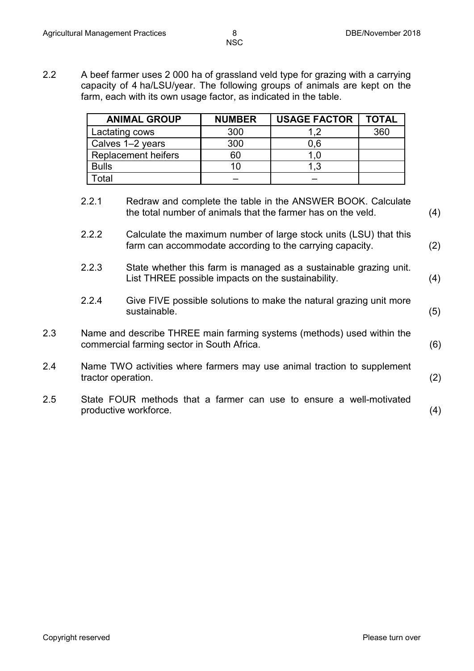2.2 A beef farmer uses 2 000 ha of grassland veld type for grazing with a carrying capacity of 4 ha/LSU/year. The following groups of animals are kept on the farm, each with its own usage factor, as indicated in the table.

| <b>ANIMAL GROUP</b>        | <b>NUMBER</b> | <b>USAGE FACTOR</b> | <b>TOTAL</b> |
|----------------------------|---------------|---------------------|--------------|
| Lactating cows             | 300           |                     | 360          |
| Calves 1-2 years           | 300           | 0,6                 |              |
| <b>Replacement heifers</b> | 60            | l .O                |              |
| <b>Bulls</b>               |               | 1.3                 |              |
| otal                       |               |                     |              |

- 2.2.1 Redraw and complete the table in the ANSWER BOOK. Calculate the total number of animals that the farmer has on the veld. (4)
- 2.2.2 Calculate the maximum number of large stock units (LSU) that this farm can accommodate according to the carrying capacity. (2)
- 2.2.3 State whether this farm is managed as a sustainable grazing unit. List THREE possible impacts on the sustainability. (4)
- 2.2.4 Give FIVE possible solutions to make the natural grazing unit more sustainable. (5)
- 2.3 Name and describe THREE main farming systems (methods) used within the commercial farming sector in South Africa. (6)
- 2.4 Name TWO activities where farmers may use animal traction to supplement tractor operation. (2)
- 2.5 State FOUR methods that a farmer can use to ensure a well-motivated productive workforce. (4)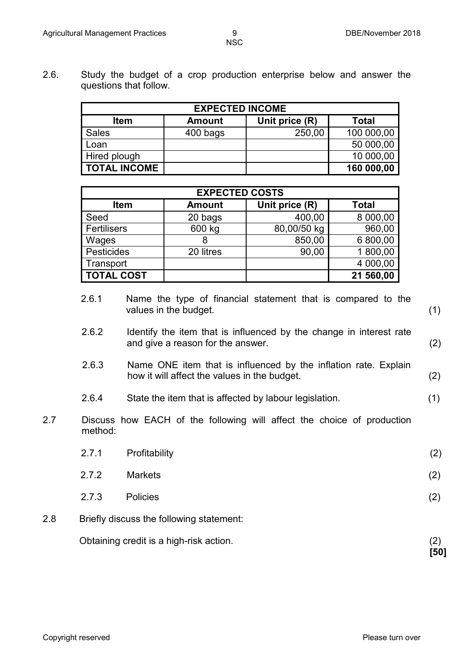2.6. Study the budget of a crop production enterprise below and answer the questions that follow.

| <b>EXPECTED INCOME</b>                                  |          |        |            |  |  |
|---------------------------------------------------------|----------|--------|------------|--|--|
| Unit price (R)<br>Total<br><b>Item</b><br><b>Amount</b> |          |        |            |  |  |
| <b>Sales</b>                                            | 400 bags | 250,00 | 100 000,00 |  |  |
| Loan                                                    |          |        | 50 000,00  |  |  |
| Hired plough                                            |          |        | 10 000,00  |  |  |
| <b>TOTAL INCOME</b>                                     |          |        | 160 000,00 |  |  |

| <b>EXPECTED COSTS</b> |               |                |              |  |
|-----------------------|---------------|----------------|--------------|--|
| <b>Item</b>           | <b>Amount</b> | Unit price (R) | <b>Total</b> |  |
| Seed                  | 20 bags       | 400,00         | 8 000,00     |  |
| Fertilisers           | 600 kg        | 80,00/50 kg    | 960,00       |  |
| Wages                 | 8             | 850,00         | 6 800,00     |  |
| Pesticides            | 20 litres     | 90,00          | 1 800,00     |  |
| Transport             |               |                | 4 000,00     |  |
| TOTAL COST            |               |                | 21 560,00    |  |

- 2.6.1 Name the type of financial statement that is compared to the values in the budget. (1)
- 2.6.2 Identify the item that is influenced by the change in interest rate and give a reason for the answer. (2)
- 2.6.3 Name ONE item that is influenced by the inflation rate. Explain how it will affect the values in the budget. (2)
- 2.6.4 State the item that is affected by labour legislation. (1)
- 2.7 Discuss how EACH of the following will affect the choice of production method:

| 2.7.1                                     | Profitability   | (2) |  |
|-------------------------------------------|-----------------|-----|--|
| 2.7.2                                     | <b>Markets</b>  | (2) |  |
| 2.7.3                                     | <b>Policies</b> | (2) |  |
| Driefly diagynea tha following atatamanty |                 |     |  |

2.8 Briefly discuss the following statement:

Obtaining credit is a high-risk action. (2) **[50]**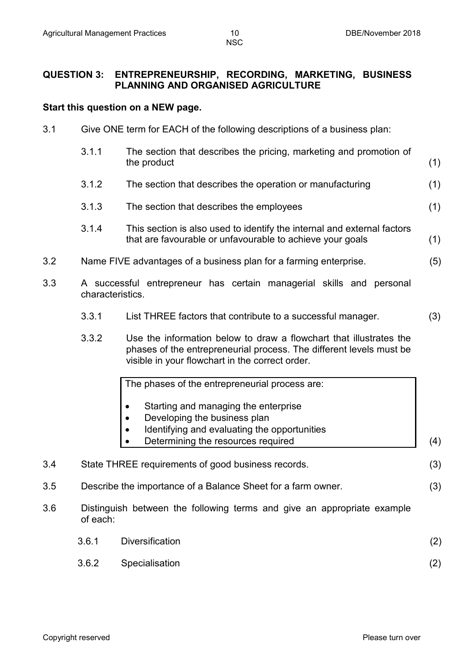#### **QUESTION 3: ENTREPRENEURSHIP, RECORDING, MARKETING, BUSINESS PLANNING AND ORGANISED AGRICULTURE**

#### **Start this question on a NEW page.**

3.1 Give ONE term for EACH of the following descriptions of a business plan:

|     | 3.1.1            | The section that describes the pricing, marketing and promotion of<br>the product                                                    | (1) |
|-----|------------------|--------------------------------------------------------------------------------------------------------------------------------------|-----|
|     | 3.1.2            | The section that describes the operation or manufacturing                                                                            | (1) |
|     | 3.1.3            | The section that describes the employees                                                                                             | (1) |
|     | 3.1.4            | This section is also used to identify the internal and external factors<br>that are favourable or unfavourable to achieve your goals | (1) |
| 3.2 |                  | Name FIVE advantages of a business plan for a farming enterprise.                                                                    | (5) |
| 3.3 | characteristics. | A successful entrepreneur has certain managerial skills and personal                                                                 |     |
|     | 3.3.1            | List THREE factors that contribute to a successful manager.                                                                          | (3) |
|     |                  |                                                                                                                                      |     |

3.3.2 Use the information below to draw a flowchart that illustrates the phases of the entrepreneurial process. The different levels must be visible in your flowchart in the correct order.

The phases of the entrepreneurial process are: • Starting and managing the enterprise • Developing the business plan • Identifying and evaluating the opportunities • Determining the resources required  $(4)$ 3.4 State THREE requirements of good business records. (3) 3.5 Describe the importance of a Balance Sheet for a farm owner. (3)

3.6 Distinguish between the following terms and give an appropriate example of each:

| 3.6.1 | Diversification      | (2) |
|-------|----------------------|-----|
|       | 3.6.2 Specialisation |     |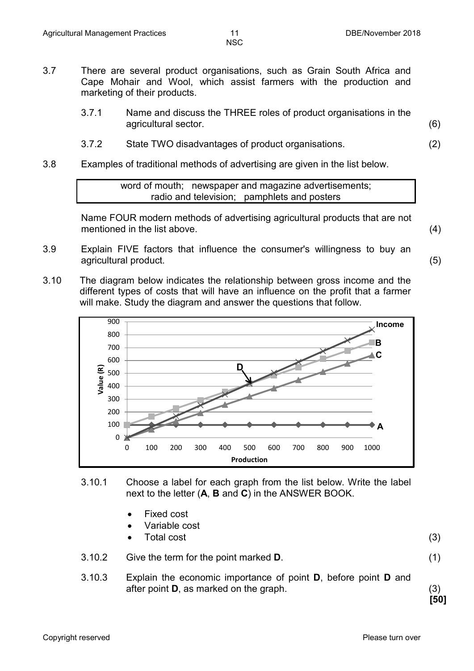- 3.7 There are several product organisations, such as Grain South Africa and Cape Mohair and Wool, which assist farmers with the production and marketing of their products.
	- 3.7.1 Name and discuss the THREE roles of product organisations in the agricultural sector. (6)
	- 3.7.2 State TWO disadvantages of product organisations. (2)
- 3.8 Examples of traditional methods of advertising are given in the list below.

word of mouth; newspaper and magazine advertisements; radio and television; pamphlets and posters

Name FOUR modern methods of advertising agricultural products that are not mentioned in the list above. (4)

- 3.9 Explain FIVE factors that influence the consumer's willingness to buy an agricultural product. (5)
- 3.10 The diagram below indicates the relationship between gross income and the different types of costs that will have an influence on the profit that a farmer will make. Study the diagram and answer the questions that follow.



- 3.10.1 Choose a label for each graph from the list below. Write the label next to the letter (**A**, **B** and **C**) in the ANSWER BOOK.
	- Fixed cost
	- Variable cost
	- Fotal cost (3)
- 3.10.2 Give the term for the point marked **D**. (1)
- 3.10.3 Explain the economic importance of point **D**, before point **D** and after point **D**, as marked on the graph. (3)

**[50]**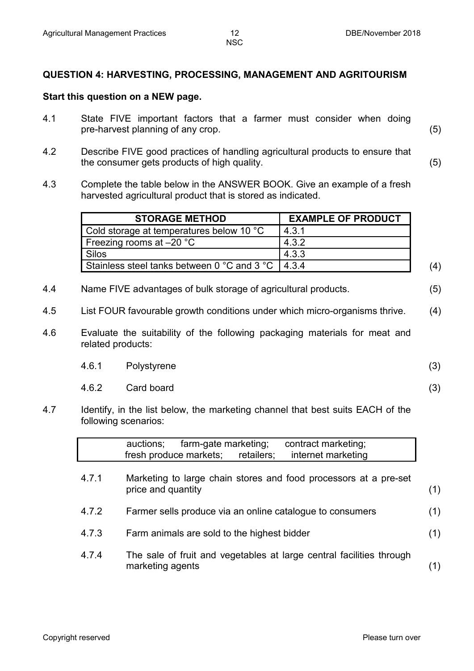#### **QUESTION 4: HARVESTING, PROCESSING, MANAGEMENT AND AGRITOURISM**

#### **Start this question on a NEW page.**

- 4.1 State FIVE important factors that a farmer must consider when doing pre-harvest planning of any crop. (5)
- 4.2 Describe FIVE good practices of handling agricultural products to ensure that the consumer gets products of high quality. (5)
- 4.3 Complete the table below in the ANSWER BOOK. Give an example of a fresh harvested agricultural product that is stored as indicated.

| <b>STORAGE METHOD</b>                               | <b>EXAMPLE OF PRODUCT</b> |  |
|-----------------------------------------------------|---------------------------|--|
| Cold storage at temperatures below 10 °C            | 4.3.1                     |  |
| Freezing rooms at $-20$ °C                          | 4.3.2                     |  |
| Silos                                               | 4.3.3                     |  |
| Stainless steel tanks between 0 °C and 3 °C   4.3.4 |                           |  |

- 4.4 Name FIVE advantages of bulk storage of agricultural products. (5)
- 4.5 List FOUR favourable growth conditions under which micro-organisms thrive. (4)
- 4.6 Evaluate the suitability of the following packaging materials for meat and related products:

| 4.6.1 | Polystyrene |  |
|-------|-------------|--|
|       |             |  |

- 4.6.2 Card board (3)
- 
- 4.7 Identify, in the list below, the marketing channel that best suits EACH of the following scenarios:

|       | contract marketing;<br>farm-gate marketing;<br>auctions;<br>fresh produce markets;<br>internet marketing<br>retailers; |     |
|-------|------------------------------------------------------------------------------------------------------------------------|-----|
| 4.7.1 | Marketing to large chain stores and food processors at a pre-set<br>price and quantity                                 | (1) |
| 4.7.2 | Farmer sells produce via an online catalogue to consumers                                                              | (1) |
| 4.7.3 | Farm animals are sold to the highest bidder                                                                            | (1) |
| 4.7.4 | The sale of fruit and vegetables at large central facilities through<br>marketing agents                               |     |